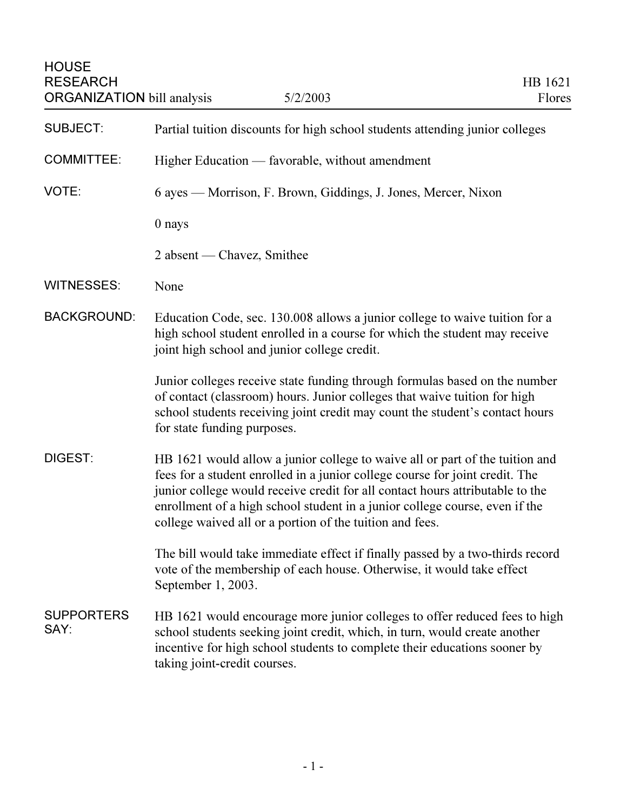| <b>HOUSE</b><br><b>RESEARCH</b><br><b>ORGANIZATION</b> bill analysis | 5/2/2003                                                                                                                                                                                                                                                                                                                                                                                 | HB 1621<br>Flores |
|----------------------------------------------------------------------|------------------------------------------------------------------------------------------------------------------------------------------------------------------------------------------------------------------------------------------------------------------------------------------------------------------------------------------------------------------------------------------|-------------------|
| <b>SUBJECT:</b>                                                      | Partial tuition discounts for high school students attending junior colleges                                                                                                                                                                                                                                                                                                             |                   |
| <b>COMMITTEE:</b>                                                    | Higher Education — favorable, without amendment                                                                                                                                                                                                                                                                                                                                          |                   |
| VOTE:                                                                | 6 ayes — Morrison, F. Brown, Giddings, J. Jones, Mercer, Nixon                                                                                                                                                                                                                                                                                                                           |                   |
|                                                                      | 0 nays                                                                                                                                                                                                                                                                                                                                                                                   |                   |
|                                                                      | 2 absent — Chavez, Smithee                                                                                                                                                                                                                                                                                                                                                               |                   |
| <b>WITNESSES:</b>                                                    | None                                                                                                                                                                                                                                                                                                                                                                                     |                   |
| <b>BACKGROUND:</b>                                                   | Education Code, sec. 130.008 allows a junior college to waive tuition for a<br>high school student enrolled in a course for which the student may receive<br>joint high school and junior college credit.                                                                                                                                                                                |                   |
|                                                                      | Junior colleges receive state funding through formulas based on the number<br>of contact (classroom) hours. Junior colleges that waive tuition for high<br>school students receiving joint credit may count the student's contact hours<br>for state funding purposes.                                                                                                                   |                   |
| DIGEST:                                                              | HB 1621 would allow a junior college to waive all or part of the tuition and<br>fees for a student enrolled in a junior college course for joint credit. The<br>junior college would receive credit for all contact hours attributable to the<br>enrollment of a high school student in a junior college course, even if the<br>college waived all or a portion of the tuition and fees. |                   |
|                                                                      | The bill would take immediate effect if finally passed by a two-thirds record<br>vote of the membership of each house. Otherwise, it would take effect<br>September 1, 2003.                                                                                                                                                                                                             |                   |
| <b>SUPPORTERS</b><br>SAY:                                            | HB 1621 would encourage more junior colleges to offer reduced fees to high<br>school students seeking joint credit, which, in turn, would create another<br>incentive for high school students to complete their educations sooner by<br>taking joint-credit courses.                                                                                                                    |                   |